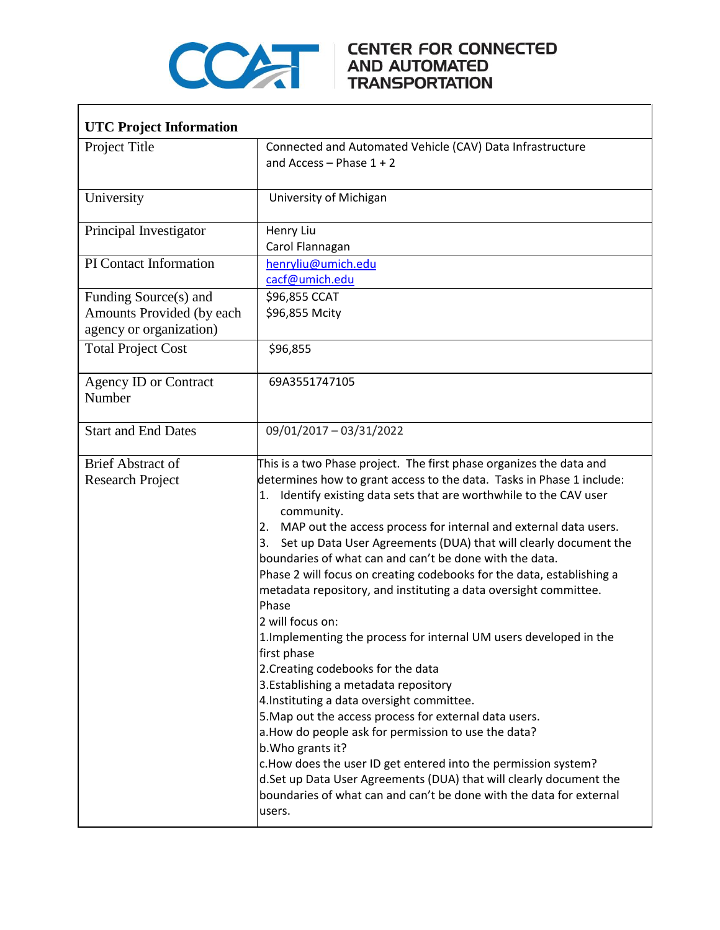

## COMPARE CENTER FOR CONNECTED

| <b>UTC Project Information</b>                                                |                                                                                                                                                                                                                                                                                                                                                                                                                                                                                                                                                                                                                                                                                                                                                                                                                                                                                                                                                                                                                                                                                                                                                                                                              |
|-------------------------------------------------------------------------------|--------------------------------------------------------------------------------------------------------------------------------------------------------------------------------------------------------------------------------------------------------------------------------------------------------------------------------------------------------------------------------------------------------------------------------------------------------------------------------------------------------------------------------------------------------------------------------------------------------------------------------------------------------------------------------------------------------------------------------------------------------------------------------------------------------------------------------------------------------------------------------------------------------------------------------------------------------------------------------------------------------------------------------------------------------------------------------------------------------------------------------------------------------------------------------------------------------------|
| Project Title                                                                 | Connected and Automated Vehicle (CAV) Data Infrastructure<br>and Access $-$ Phase $1 + 2$                                                                                                                                                                                                                                                                                                                                                                                                                                                                                                                                                                                                                                                                                                                                                                                                                                                                                                                                                                                                                                                                                                                    |
| University                                                                    | University of Michigan                                                                                                                                                                                                                                                                                                                                                                                                                                                                                                                                                                                                                                                                                                                                                                                                                                                                                                                                                                                                                                                                                                                                                                                       |
| Principal Investigator                                                        | Henry Liu<br>Carol Flannagan                                                                                                                                                                                                                                                                                                                                                                                                                                                                                                                                                                                                                                                                                                                                                                                                                                                                                                                                                                                                                                                                                                                                                                                 |
| PI Contact Information                                                        | henryliu@umich.edu<br>cacf@umich.edu                                                                                                                                                                                                                                                                                                                                                                                                                                                                                                                                                                                                                                                                                                                                                                                                                                                                                                                                                                                                                                                                                                                                                                         |
| Funding Source(s) and<br>Amounts Provided (by each<br>agency or organization) | \$96,855 CCAT<br>\$96,855 Mcity                                                                                                                                                                                                                                                                                                                                                                                                                                                                                                                                                                                                                                                                                                                                                                                                                                                                                                                                                                                                                                                                                                                                                                              |
| <b>Total Project Cost</b>                                                     | \$96,855                                                                                                                                                                                                                                                                                                                                                                                                                                                                                                                                                                                                                                                                                                                                                                                                                                                                                                                                                                                                                                                                                                                                                                                                     |
| Agency ID or Contract<br>Number                                               | 69A3551747105                                                                                                                                                                                                                                                                                                                                                                                                                                                                                                                                                                                                                                                                                                                                                                                                                                                                                                                                                                                                                                                                                                                                                                                                |
| <b>Start and End Dates</b>                                                    | 09/01/2017 - 03/31/2022                                                                                                                                                                                                                                                                                                                                                                                                                                                                                                                                                                                                                                                                                                                                                                                                                                                                                                                                                                                                                                                                                                                                                                                      |
| <b>Brief Abstract of</b><br><b>Research Project</b>                           | This is a two Phase project. The first phase organizes the data and<br>determines how to grant access to the data. Tasks in Phase 1 include:<br>Identify existing data sets that are worthwhile to the CAV user<br>1.<br>community.<br>2. MAP out the access process for internal and external data users.<br>Set up Data User Agreements (DUA) that will clearly document the<br>3.<br>boundaries of what can and can't be done with the data.<br>Phase 2 will focus on creating codebooks for the data, establishing a<br>metadata repository, and instituting a data oversight committee.<br>Phase<br>2 will focus on:<br>1. Implementing the process for internal UM users developed in the<br>first phase<br>2. Creating codebooks for the data<br>3. Establishing a metadata repository<br>4. Instituting a data oversight committee.<br>5. Map out the access process for external data users.<br>a. How do people ask for permission to use the data?<br>b. Who grants it?<br>c. How does the user ID get entered into the permission system?<br>d.Set up Data User Agreements (DUA) that will clearly document the<br>boundaries of what can and can't be done with the data for external<br>users. |